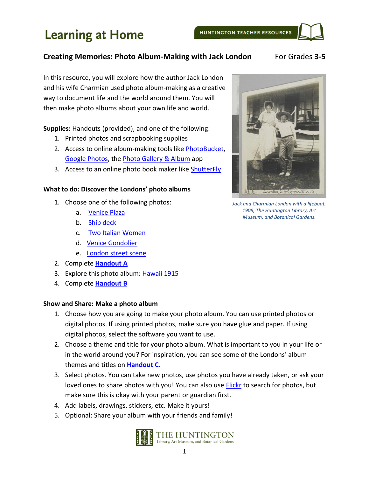# **Learning at Home**

### **Creating Memories: Photo Album-Making with Jack London** For Grades 3-5

In this resource, you will explore how the author Jack London and his wife Charmian used photo album-making as a creative way to document life and the world around them. You will then make photo albums about your own life and world.

**Supplies:** Handouts (provided), and one of the following:

- 1. Printed photos and scrapbooking supplies
- 2. Access to online album-making tools like [PhotoBucket,](https://photobucket.com/) [Google Photos,](https://photos.google.com/) the [Photo Gallery & Album](https://play.google.com/store/apps/details?id=photo.album.galleryvault.photogallery&hl=en_US) app
- 3. Access to an online photo book maker like [ShutterFly](https://www.shutterfly.com/)

#### **What to do: Discover the Londons' photo albums**

- 1. Choose one of the following photos:
	- a. [Venice Plaza](https://hdl.huntington.org/digital/collection/p16003coll7/id/347/rec/67)
	- b. [Ship deck](https://hdl.huntington.org/digital/collection/p16003coll7/id/272/rec/56)
	- c. [Two Italian Women](https://hdl.huntington.org/digital/collection/p16003coll7/id/336/rec/61)
	- d. [Venice Gondolier](https://hdl.huntington.org/digital/collection/p16003coll7/id/345/rec/65)
	- e. [London street scene](https://hdl.huntington.org/digital/collection/p16003coll7/id/319/rec/11)
- 2. Complete **[Handout A](#page-1-0)**
- 3. Explore this photo album: [Hawaii 1915](https://hdl.huntington.org/digital/collection/p16003coll7/id/5223/rec/48)
- 4. Complete **[Handout B](#page-3-0)**

#### **Show and Share: Make a photo album**

- 1. Choose how you are going to make your photo album. You can use printed photos or digital photos. If using printed photos, make sure you have glue and paper. If using digital photos, select the software you want to use.
- 2. Choose a theme and title for your photo album. What is important to you in your life or in the world around you? For inspiration, you can see some of the Londons' album themes and titles on **[Handout C.](#page-4-0)**
- 3. Select photos. You can take new photos, use photos you have already taken, or ask your loved ones to share photos with you! You can also use [Flickr](https://www.flickr.com/search/?text=&license=4%2C5%2C9%2C10) to search for photos, but make sure this is okay with your parent or guardian first.
- 4. Add labels, drawings, stickers, etc. Make it yours!
- 5. Optional: Share your album with your friends and family!





*Jack and Charmian London with a lifeboat, 1908, The Huntington Library, Art Museum, and Botanical Gardens.*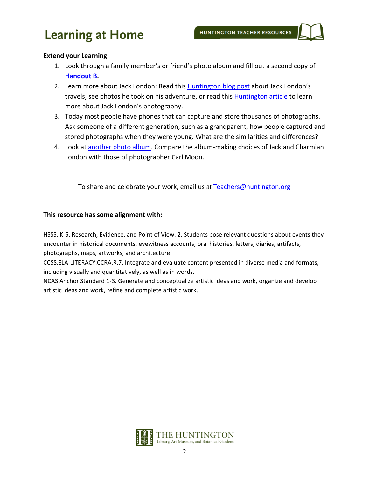#### **Extend your Learning**

- 1. Look through a family member's or friend's photo album and fill out a second copy of **[Handout B.](#page-3-0)**
- 2. Learn more about Jack London: Read this [Huntington blog post](https://www.huntington.org/verso/2018/08/jack-and-charmian%E2%80%99s-national-park-adventures) about Jack London's travels, see photos he took on his adventure, or read this **Huntington article** to learn more about Jack London's photography.
- 3. Today most people have phones that can capture and store thousands of photographs. Ask someone of a different generation, such as a grandparent, how people captured and stored photographs when they were young. What are the similarities and differences?
- 4. Look at another [photo album.](https://hdl.huntington.org/digital/collection/p15150coll2/id/7723/rec/1) Compare the album-making choices of Jack and Charmian London with those of photographer Carl Moon.

To share and celebrate your work, email us at [Teachers@huntington.org](mailto:teachers@huntington.org)

#### **This resource has some alignment with:**

HSSS. K-5. Research, Evidence, and Point of View. 2. Students pose relevant questions about events they encounter in historical documents, eyewitness accounts, oral histories, letters, diaries, artifacts, photographs, maps, artworks, and architecture.

CCSS.ELA-LITERACY.CCRA.R.7. Integrate and evaluate content presented in diverse media and formats, including visually and quantitatively, as well as in words.

<span id="page-1-0"></span>NCAS Anchor Standard 1-3. Generate and conceptualize artistic ideas and work, organize and develop artistic ideas and work, refine and complete artistic work.

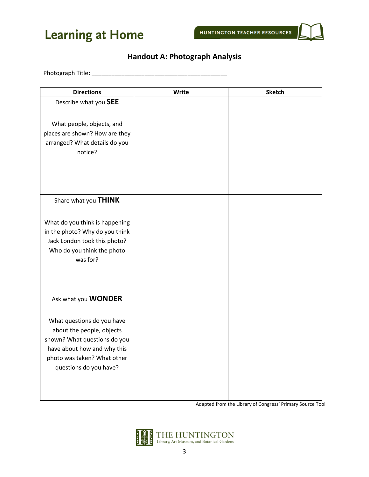



# **Handout A: Photograph Analysis**

Photograph Title**: \_\_\_\_\_\_\_\_\_\_\_\_\_\_\_\_\_\_\_\_\_\_\_\_\_\_\_\_\_\_\_\_\_\_\_\_\_\_\_\_\_**

Adapted from the Library of Congress' Primary Source Tool

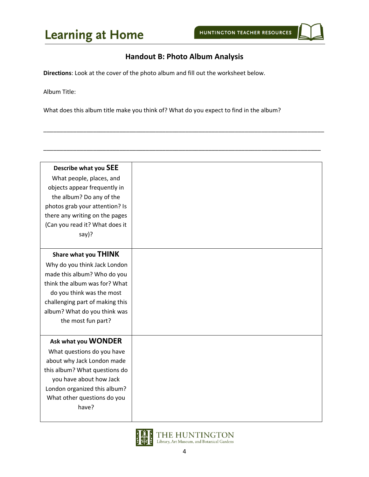# <span id="page-3-0"></span>**Handout B: Photo Album Analysis**

\_\_\_\_\_\_\_\_\_\_\_\_\_\_\_\_\_\_\_\_\_\_\_\_\_\_\_\_\_\_\_\_\_\_\_\_\_\_\_\_\_\_\_\_\_\_\_\_\_\_\_\_\_\_\_\_\_\_\_\_\_\_\_\_\_\_\_\_\_\_\_\_\_\_\_\_\_\_\_\_\_\_\_\_\_

\_\_\_\_\_\_\_\_\_\_\_\_\_\_\_\_\_\_\_\_\_\_\_\_\_\_\_\_\_\_\_\_\_\_\_\_\_\_\_\_\_\_\_\_\_\_\_\_\_\_\_\_\_\_\_\_\_\_\_\_\_\_\_\_\_\_\_\_\_\_\_\_\_\_\_\_\_\_\_\_\_\_\_\_

**Directions**: Look at the cover of the photo album and fill out the worksheet below.

Album Title:

What does this album title make you think of? What do you expect to find in the album?

| Describe what you SEE           |
|---------------------------------|
| What people, places, and        |
| objects appear frequently in    |
| the album? Do any of the        |
| photos grab your attention? Is  |
| there any writing on the pages  |
| (Can you read it? What does it  |
| say)?                           |
|                                 |
| Share what you THINK            |
| Why do you think Jack London    |
| made this album? Who do you     |
| think the album was for? What   |
|                                 |
| do you think was the most       |
| challenging part of making this |
| album? What do you think was    |
| the most fun part?              |
|                                 |
| Ask what you WONDER             |
| What questions do you have      |
| about why Jack London made      |
| this album? What questions do   |
| you have about how Jack         |
| London organized this album?    |
| What other questions do you     |
| have?                           |
|                                 |